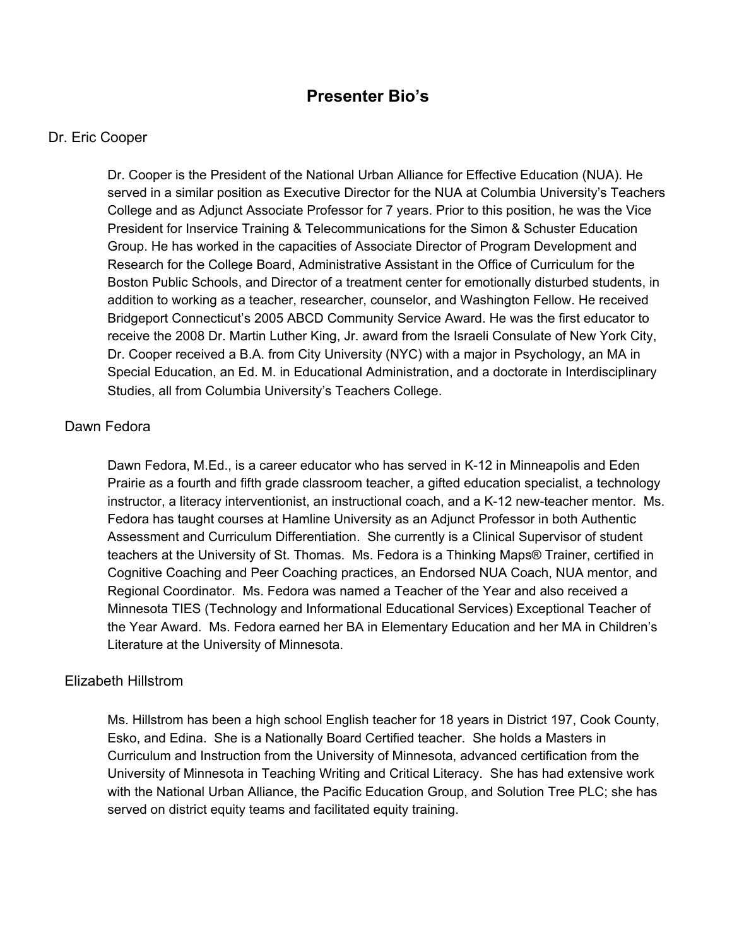# **Presenter Bio's**

#### Dr. Eric Cooper

Dr. Cooper is the President of the National Urban Alliance for Effective Education (NUA). He served in a similar position as Executive Director for the NUA at Columbia University's Teachers College and as Adjunct Associate Professor for 7 years. Prior to this position, he was the Vice President for Inservice Training & Telecommunications for the Simon & Schuster Education Group. He has worked in the capacities of Associate Director of Program Development and Research for the College Board, Administrative Assistant in the Office of Curriculum for the Boston Public Schools, and Director of a treatment center for emotionally disturbed students, in addition to working as a teacher, researcher, counselor, and Washington Fellow. He received Bridgeport Connecticut's 2005 ABCD Community Service Award. He was the first educator to receive the 2008 Dr. Martin Luther King, Jr. award from the Israeli Consulate of New York City, Dr. Cooper received a B.A. from City University (NYC) with a major in Psychology, an MA in Special Education, an Ed. M. in Educational Administration, and a doctorate in Interdisciplinary Studies, all from Columbia University's Teachers College.

## Dawn Fedora

Dawn Fedora, M.Ed., is a career educator who has served in K-12 in Minneapolis and Eden Prairie as a fourth and fifth grade classroom teacher, a gifted education specialist, a technology instructor, a literacy interventionist, an instructional coach, and a K-12 new-teacher mentor. Ms. Fedora has taught courses at Hamline University as an Adjunct Professor in both Authentic Assessment and Curriculum Differentiation. She currently is a Clinical Supervisor of student teachers at the University of St. Thomas. Ms. Fedora is a Thinking Maps® Trainer, certified in Cognitive Coaching and Peer Coaching practices, an Endorsed NUA Coach, NUA mentor, and Regional Coordinator. Ms. Fedora was named a Teacher of the Year and also received a Minnesota TIES (Technology and Informational Educational Services) Exceptional Teacher of the Year Award. Ms. Fedora earned her BA in Elementary Education and her MA in Children's Literature at the University of Minnesota.

#### Elizabeth Hillstrom

Ms. Hillstrom has been a high school English teacher for 18 years in District 197, Cook County, Esko, and Edina. She is a Nationally Board Certified teacher. She holds a Masters in Curriculum and Instruction from the University of Minnesota, advanced certification from the University of Minnesota in Teaching Writing and Critical Literacy. She has had extensive work with the National Urban Alliance, the Pacific Education Group, and Solution Tree PLC; she has served on district equity teams and facilitated equity training.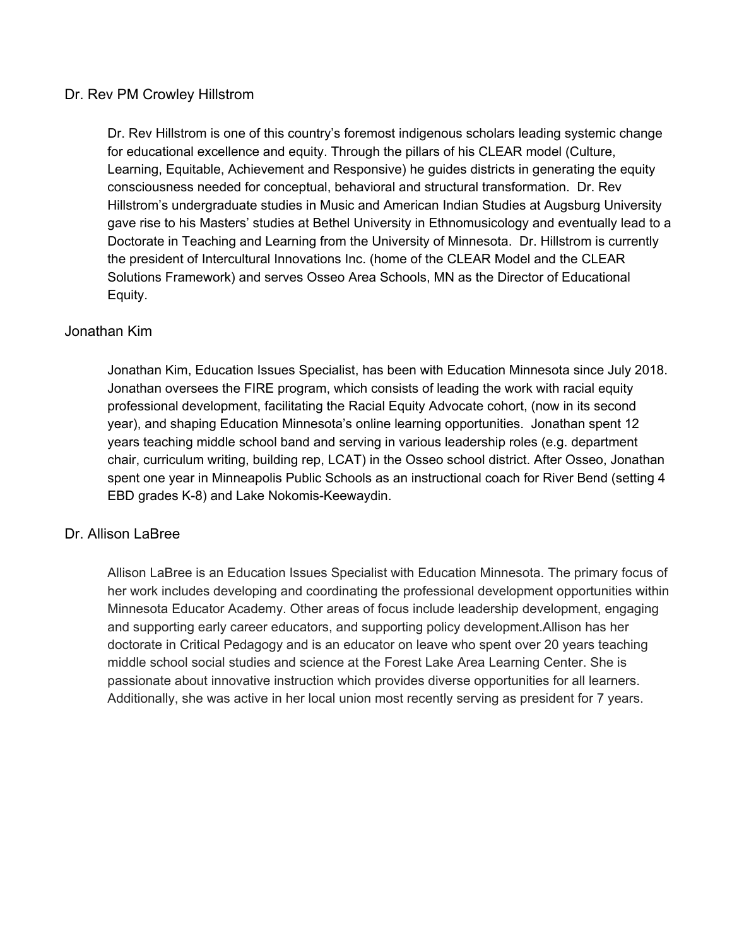## Dr. Rev PM Crowley Hillstrom

Dr. Rev Hillstrom is one of this country's foremost indigenous scholars leading systemic change for educational excellence and equity. Through the pillars of his CLEAR model (Culture, Learning, Equitable, Achievement and Responsive) he guides districts in generating the equity consciousness needed for conceptual, behavioral and structural transformation. Dr. Rev Hillstrom's undergraduate studies in Music and American Indian Studies at Augsburg University gave rise to his Masters' studies at Bethel University in Ethnomusicology and eventually lead to a Doctorate in Teaching and Learning from the University of Minnesota. Dr. Hillstrom is currently the president of Intercultural Innovations Inc. (home of the CLEAR Model and the CLEAR Solutions Framework) and serves Osseo Area Schools, MN as the Director of Educational Equity.

# Jonathan Kim

Jonathan Kim, Education Issues Specialist, has been with Education Minnesota since July 2018. Jonathan oversees the FIRE program, which consists of leading the work with racial equity professional development, facilitating the Racial Equity Advocate cohort, (now in its second year), and shaping Education Minnesota's online learning opportunities. Jonathan spent 12 years teaching middle school band and serving in various leadership roles (e.g. department chair, curriculum writing, building rep, LCAT) in the Osseo school district. After Osseo, Jonathan spent one year in Minneapolis Public Schools as an instructional coach for River Bend (setting 4 EBD grades K-8) and Lake Nokomis-Keewaydin.

## Dr. Allison LaBree

Allison LaBree is an Education Issues Specialist with Education Minnesota. The primary focus of her work includes developing and coordinating the professional development opportunities within Minnesota Educator Academy. Other areas of focus include leadership development, engaging and supporting early career educators, and supporting policy development.Allison has her doctorate in Critical Pedagogy and is an educator on leave who spent over 20 years teaching middle school social studies and science at the Forest Lake Area Learning Center. She is passionate about innovative instruction which provides diverse opportunities for all learners. Additionally, she was active in her local union most recently serving as president for 7 years.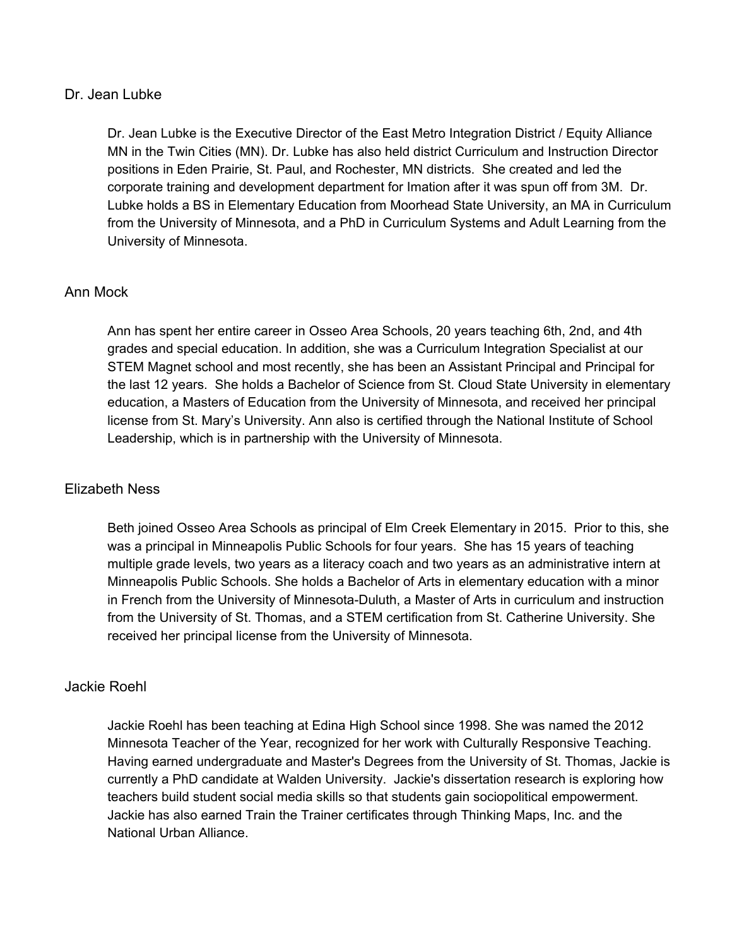## Dr. Jean Lubke

Dr. Jean Lubke is the Executive Director of the East Metro Integration District / Equity Alliance MN in the Twin Cities (MN). Dr. Lubke has also held district Curriculum and Instruction Director positions in Eden Prairie, St. Paul, and Rochester, MN districts. She created and led the corporate training and development department for Imation after it was spun off from 3M. Dr. Lubke holds a BS in Elementary Education from Moorhead State University, an MA in Curriculum from the University of Minnesota, and a PhD in Curriculum Systems and Adult Learning from the University of Minnesota.

# Ann Mock

Ann has spent her entire career in Osseo Area Schools, 20 years teaching 6th, 2nd, and 4th grades and special education. In addition, she was a Curriculum Integration Specialist at our STEM Magnet school and most recently, she has been an Assistant Principal and Principal for the last 12 years. She holds a Bachelor of Science from St. Cloud State University in elementary education, a Masters of Education from the University of Minnesota, and received her principal license from St. Mary's University. Ann also is certified through the National Institute of School Leadership, which is in partnership with the University of Minnesota.

# Elizabeth Ness

Beth joined Osseo Area Schools as principal of Elm Creek Elementary in 2015. Prior to this, she was a principal in Minneapolis Public Schools for four years. She has 15 years of teaching multiple grade levels, two years as a literacy coach and two years as an administrative intern at Minneapolis Public Schools. She holds a Bachelor of Arts in elementary education with a minor in French from the University of Minnesota-Duluth, a Master of Arts in curriculum and instruction from the University of St. Thomas, and a STEM certification from St. Catherine University. She received her principal license from the University of Minnesota.

#### Jackie Roehl

Jackie Roehl has been teaching at Edina High School since 1998. She was named the 2012 Minnesota Teacher of the Year, recognized for her work with Culturally Responsive Teaching. Having earned undergraduate and Master's Degrees from the University of St. Thomas, Jackie is currently a PhD candidate at Walden University. Jackie's dissertation research is exploring how teachers build student social media skills so that students gain sociopolitical empowerment. Jackie has also earned Train the Trainer certificates through Thinking Maps, Inc. and the National Urban Alliance.